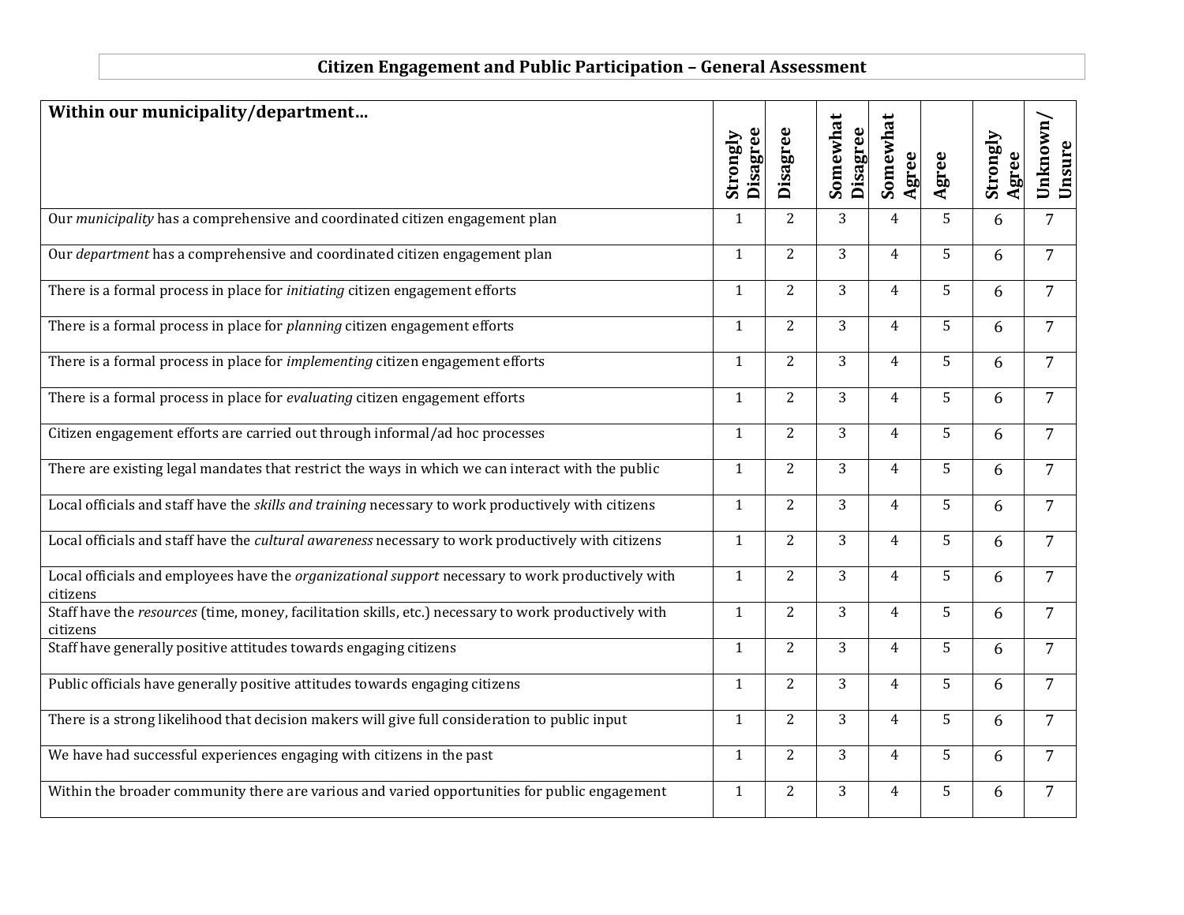## **Citizen Engagement and Public Participation – General Assessment**

| Within our municipality/department                                                                                |                             |                |                      |                   |       |                   |                    |
|-------------------------------------------------------------------------------------------------------------------|-----------------------------|----------------|----------------------|-------------------|-------|-------------------|--------------------|
|                                                                                                                   | <b>Disagree</b><br>Strongly | Disagree       | Somewhat<br>Disagree | Somewhat<br>Agree | Agree | Strongly<br>Agree | Unknown/<br>Unsure |
| Our municipality has a comprehensive and coordinated citizen engagement plan                                      | $\mathbf{1}$                | $\overline{2}$ | 3                    | $\overline{4}$    | 5     | 6                 | $\overline{7}$     |
| Our <i>department</i> has a comprehensive and coordinated citizen engagement plan                                 | $\mathbf{1}$                | $\overline{2}$ | 3                    | $\overline{4}$    | 5     | 6                 | $\overline{7}$     |
| There is a formal process in place for initiating citizen engagement efforts                                      | $\mathbf{1}$                | $\overline{2}$ | 3                    | $\overline{4}$    | 5     | 6                 | $\overline{7}$     |
| There is a formal process in place for planning citizen engagement efforts                                        | $\mathbf{1}$                | $\overline{2}$ | 3                    | $\overline{4}$    | 5     | 6                 | $\overline{7}$     |
| There is a formal process in place for <i>implementing</i> citizen engagement efforts                             | $\mathbf{1}$                | $\overline{2}$ | 3                    | $\overline{4}$    | 5     | 6                 | $\overline{7}$     |
| There is a formal process in place for evaluating citizen engagement efforts                                      | $\mathbf{1}$                | $\overline{2}$ | 3                    | 4                 | 5     | 6                 | $\overline{7}$     |
| Citizen engagement efforts are carried out through informal/ad hoc processes                                      | $\mathbf{1}$                | $\overline{2}$ | 3                    | $\overline{4}$    | 5     | 6                 | $\overline{7}$     |
| There are existing legal mandates that restrict the ways in which we can interact with the public                 | $\mathbf{1}$                | $\overline{2}$ | 3                    | $\overline{4}$    | 5     | 6                 | $\overline{7}$     |
| Local officials and staff have the skills and training necessary to work productively with citizens               | $\mathbf{1}$                | $\overline{2}$ | 3                    | $\overline{4}$    | 5     | 6                 | $\overline{7}$     |
| Local officials and staff have the cultural awareness necessary to work productively with citizens                | $\mathbf{1}$                | $\overline{2}$ | 3                    | $\overline{4}$    | 5     | 6                 | $\overline{7}$     |
| Local officials and employees have the organizational support necessary to work productively with<br>citizens     | $\mathbf{1}$                | $\overline{2}$ | 3                    | $\overline{4}$    | 5     | 6                 | $\overline{7}$     |
| Staff have the resources (time, money, facilitation skills, etc.) necessary to work productively with<br>citizens | $\mathbf{1}$                | $\overline{2}$ | 3                    | $\overline{4}$    | 5     | 6                 | $\overline{7}$     |
| Staff have generally positive attitudes towards engaging citizens                                                 | $\mathbf{1}$                | $\overline{2}$ | 3                    | $\overline{4}$    | 5     | 6                 | $\overline{7}$     |
| Public officials have generally positive attitudes towards engaging citizens                                      | $\mathbf{1}$                | $\overline{2}$ | 3                    | $\overline{4}$    | 5     | 6                 | 7                  |
| There is a strong likelihood that decision makers will give full consideration to public input                    | $\mathbf{1}$                | $\overline{2}$ | 3                    | $\overline{4}$    | 5     | 6                 | $\overline{7}$     |
| We have had successful experiences engaging with citizens in the past                                             | $\mathbf{1}$                | $\overline{2}$ | 3                    | $\overline{4}$    | 5     | 6                 | $\overline{7}$     |
| Within the broader community there are various and varied opportunities for public engagement                     | $\mathbf{1}$                | $\overline{2}$ | 3                    | $\overline{4}$    | 5     | 6                 | 7                  |